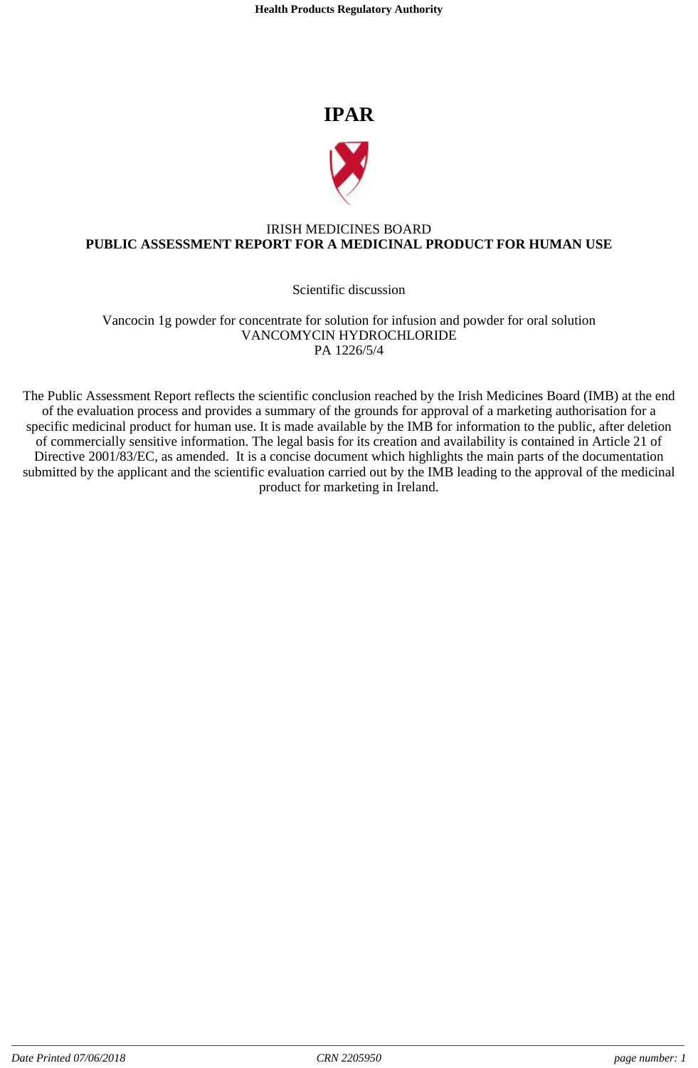**Health Products Regulatory Authority**

# **IPAR**



## IRISH MEDICINES BOARD **PUBLIC ASSESSMENT REPORT FOR A MEDICINAL PRODUCT FOR HUMAN USE**

## Scientific discussion

Vancocin 1g powder for concentrate for solution for infusion and powder for oral solution VANCOMYCIN HYDROCHLORIDE PA 1226/5/4

The Public Assessment Report reflects the scientific conclusion reached by the Irish Medicines Board (IMB) at the end of the evaluation process and provides a summary of the grounds for approval of a marketing authorisation for a specific medicinal product for human use. It is made available by the IMB for information to the public, after deletion of commercially sensitive information. The legal basis for its creation and availability is contained in Article 21 of Directive 2001/83/EC, as amended. It is a concise document which highlights the main parts of the documentation submitted by the applicant and the scientific evaluation carried out by the IMB leading to the approval of the medicinal product for marketing in Ireland.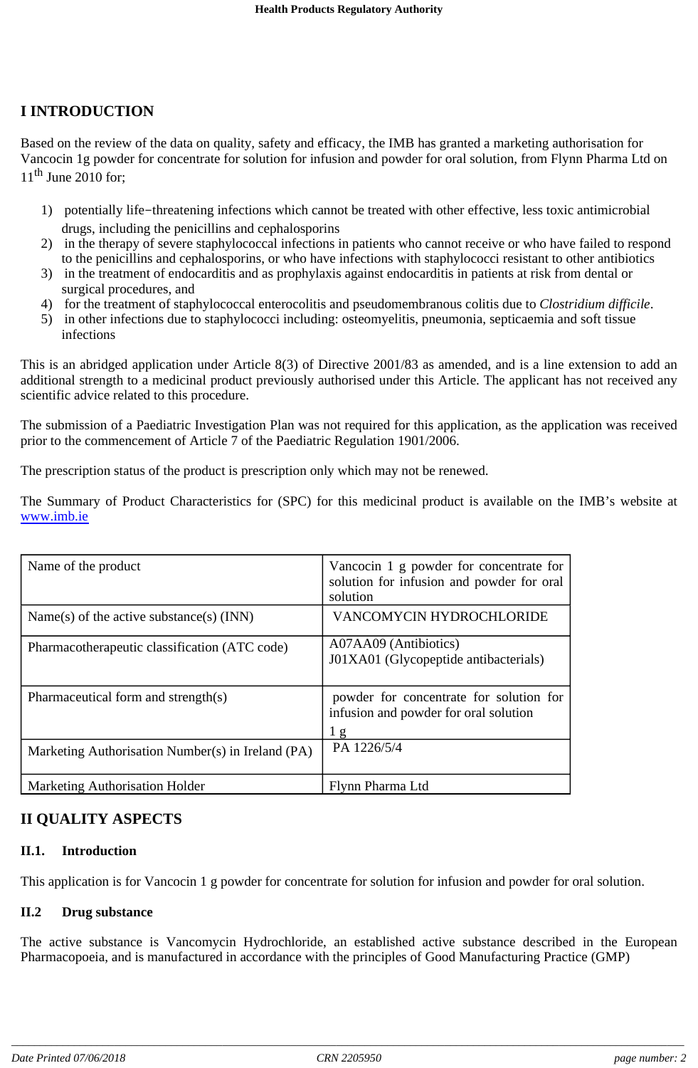## **I INTRODUCTION**

Based on the review of the data on quality, safety and efficacy, the IMB has granted a marketing authorisation for Vancocin 1g powder for concentrate for solution for infusion and powder for oral solution, from Flynn Pharma Ltd on  $11<sup>th</sup>$  June 2010 for:

- 1) potentially life-threatening infections which cannot be treated with other effective, less toxic antimicrobial drugs, including the penicillins and cephalosporins
- 2) in the therapy of severe staphylococcal infections in patients who cannot receive or who have failed to respond to the penicillins and cephalosporins, or who have infections with staphylococci resistant to other antibiotics
- 3) in the treatment of endocarditis and as prophylaxis against endocarditis in patients at risk from dental or surgical procedures, and
- 4) for the treatment of staphylococcal enterocolitis and pseudomembranous colitis due to *Clostridium difficile*.
- 5) in other infections due to staphylococci including: osteomyelitis, pneumonia, septicaemia and soft tissue infections

This is an abridged application under Article 8(3) of Directive 2001/83 as amended, and is a line extension to add an additional strength to a medicinal product previously authorised under this Article. The applicant has not received any scientific advice related to this procedure.

The submission of a Paediatric Investigation Plan was not required for this application, as the application was received prior to the commencement of Article 7 of the Paediatric Regulation 1901/2006.

The prescription status of the product is prescription only which may not be renewed.

The Summary of Product Characteristics for (SPC) for this medicinal product is available on the IMB's website at www.imb.ie

| Name of the product                               | Vancocin 1 g powder for concentrate for<br>solution for infusion and powder for oral<br>solution   |
|---------------------------------------------------|----------------------------------------------------------------------------------------------------|
| Name(s) of the active substance(s) $(INN)$        | VANCOMYCIN HYDROCHLORIDE                                                                           |
| Pharmacotherapeutic classification (ATC code)     | A07AA09 (Antibiotics)<br>J01XA01 (Glycopeptide antibacterials)                                     |
| Pharmaceutical form and strength(s)               | powder for concentrate for solution for<br>infusion and powder for oral solution<br>1 <sub>g</sub> |
| Marketing Authorisation Number(s) in Ireland (PA) | PA 1226/5/4                                                                                        |
| <b>Marketing Authorisation Holder</b>             | Flynn Pharma Ltd                                                                                   |

## **II QUALITY ASPECTS**

## **II.1. Introduction**

This application is for Vancocin 1 g powder for concentrate for solution for infusion and powder for oral solution.

## **II.2 Drug substance**

The active substance is Vancomycin Hydrochloride, an established active substance described in the European Pharmacopoeia, and is manufactured in accordance with the principles of Good Manufacturing Practice (GMP)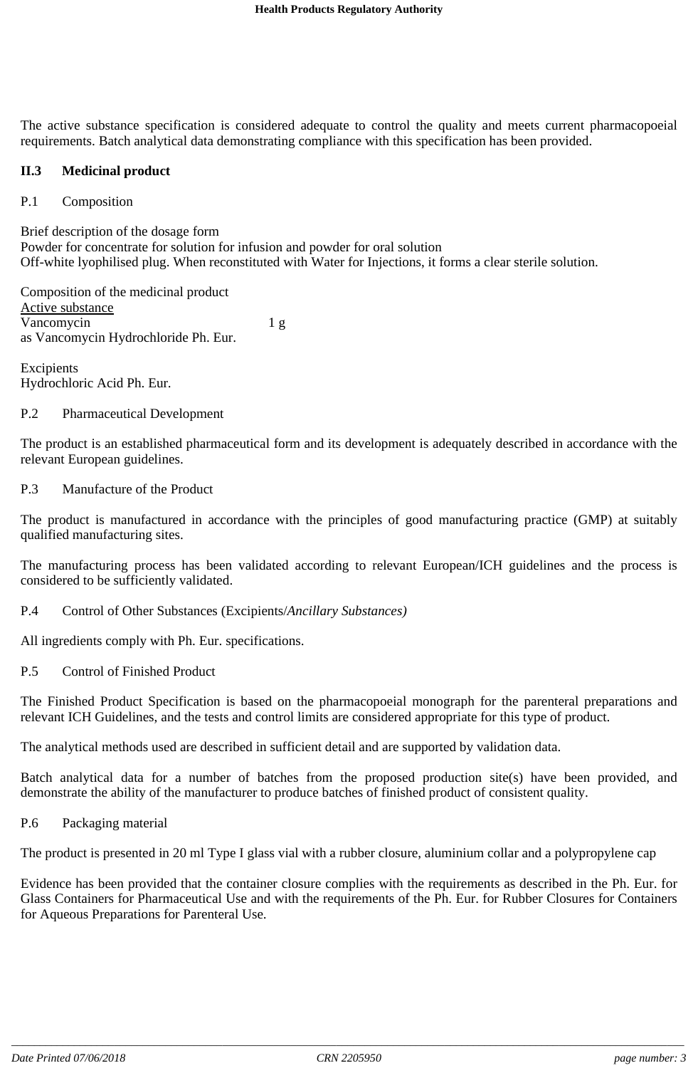The active substance specification is considered adequate to control the quality and meets current pharmacopoeial requirements. Batch analytical data demonstrating compliance with this specification has been provided.

#### **II.3 Medicinal product**

#### P.1 Composition

Brief description of the dosage form Powder for concentrate for solution for infusion and powder for oral solution Off-white lyophilised plug. When reconstituted with Water for Injections, it forms a clear sterile solution.

Composition of the medicinal product Active substance Vancomycin 1 g as Vancomycin Hydrochloride Ph. Eur.

Excipients Hydrochloric Acid Ph. Eur.

#### P.2 Pharmaceutical Development

The product is an established pharmaceutical form and its development is adequately described in accordance with the relevant European guidelines.

#### P.3 Manufacture of the Product

The product is manufactured in accordance with the principles of good manufacturing practice (GMP) at suitably qualified manufacturing sites.

The manufacturing process has been validated according to relevant European/ICH guidelines and the process is considered to be sufficiently validated.

P.4 Control of Other Substances (Excipients/*Ancillary Substances)*

All ingredients comply with Ph. Eur. specifications.

P.5 Control of Finished Product

The Finished Product Specification is based on the pharmacopoeial monograph for the parenteral preparations and relevant ICH Guidelines, and the tests and control limits are considered appropriate for this type of product.

The analytical methods used are described in sufficient detail and are supported by validation data.

Batch analytical data for a number of batches from the proposed production site(s) have been provided, and demonstrate the ability of the manufacturer to produce batches of finished product of consistent quality.

P.6 Packaging material

The product is presented in 20 ml Type I glass vial with a rubber closure, aluminium collar and a polypropylene cap

Evidence has been provided that the container closure complies with the requirements as described in the Ph. Eur. for Glass Containers for Pharmaceutical Use and with the requirements of the Ph. Eur. for Rubber Closures for Containers for Aqueous Preparations for Parenteral Use.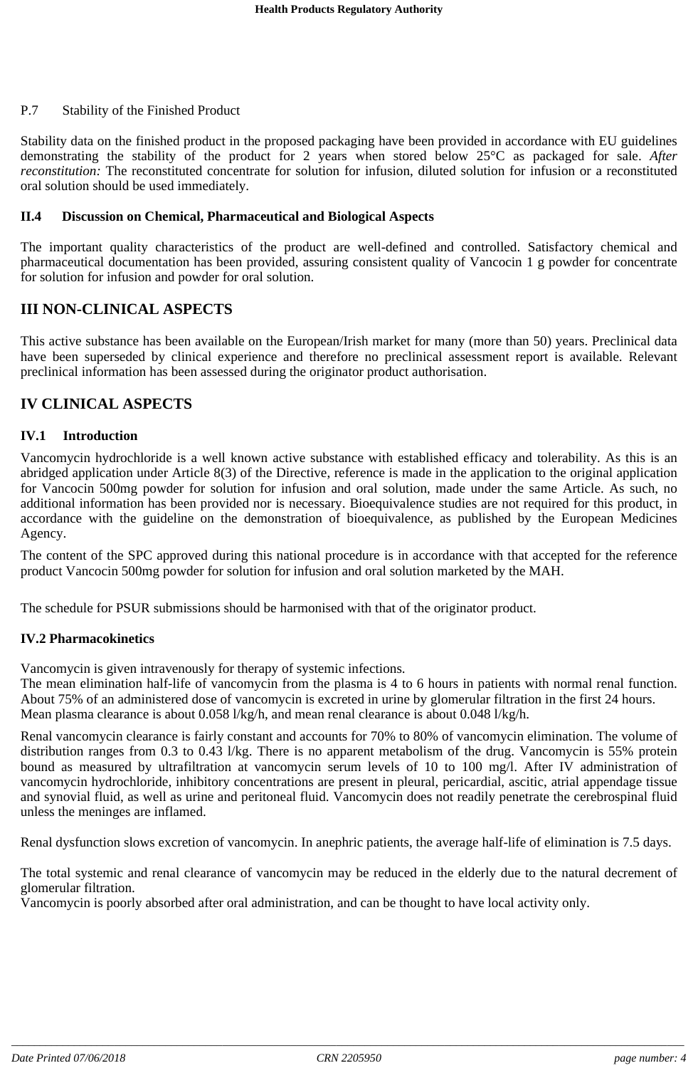#### P.7 Stability of the Finished Product

Stability data on the finished product in the proposed packaging have been provided in accordance with EU guidelines demonstrating the stability of the product for 2 years when stored below 25°C as packaged for sale. *After reconstitution:* The reconstituted concentrate for solution for infusion, diluted solution for infusion or a reconstituted oral solution should be used immediately.

#### **II.4 Discussion on Chemical, Pharmaceutical and Biological Aspects**

The important quality characteristics of the product are well-defined and controlled. Satisfactory chemical and pharmaceutical documentation has been provided, assuring consistent quality of Vancocin 1 g powder for concentrate for solution for infusion and powder for oral solution.

## **III NON-CLINICAL ASPECTS**

This active substance has been available on the European/Irish market for many (more than 50) years. Preclinical data have been superseded by clinical experience and therefore no preclinical assessment report is available. Relevant preclinical information has been assessed during the originator product authorisation.

### **IV CLINICAL ASPECTS**

#### **IV.1 Introduction**

Vancomycin hydrochloride is a well known active substance with established efficacy and tolerability. As this is an abridged application under Article 8(3) of the Directive, reference is made in the application to the original application for Vancocin 500mg powder for solution for infusion and oral solution, made under the same Article. As such, no additional information has been provided nor is necessary. Bioequivalence studies are not required for this product, in accordance with the guideline on the demonstration of bioequivalence, as published by the European Medicines Agency.

The content of the SPC approved during this national procedure is in accordance with that accepted for the reference product Vancocin 500mg powder for solution for infusion and oral solution marketed by the MAH.

The schedule for PSUR submissions should be harmonised with that of the originator product.

#### **IV.2 Pharmacokinetics**

Vancomycin is given intravenously for therapy of systemic infections.

The mean elimination half-life of vancomycin from the plasma is 4 to 6 hours in patients with normal renal function. About 75% of an administered dose of vancomycin is excreted in urine by glomerular filtration in the first 24 hours. Mean plasma clearance is about 0.058 l/kg/h, and mean renal clearance is about 0.048 l/kg/h.

Renal vancomycin clearance is fairly constant and accounts for 70% to 80% of vancomycin elimination. The volume of distribution ranges from 0.3 to 0.43 l/kg. There is no apparent metabolism of the drug. Vancomycin is 55% protein bound as measured by ultrafiltration at vancomycin serum levels of 10 to 100 mg/l. After IV administration of vancomycin hydrochloride, inhibitory concentrations are present in pleural, pericardial, ascitic, atrial appendage tissue and synovial fluid, as well as urine and peritoneal fluid. Vancomycin does not readily penetrate the cerebrospinal fluid unless the meninges are inflamed.

Renal dysfunction slows excretion of vancomycin. In anephric patients, the average half-life of elimination is 7.5 days.

The total systemic and renal clearance of vancomycin may be reduced in the elderly due to the natural decrement of glomerular filtration.

Vancomycin is poorly absorbed after oral administration, and can be thought to have local activity only.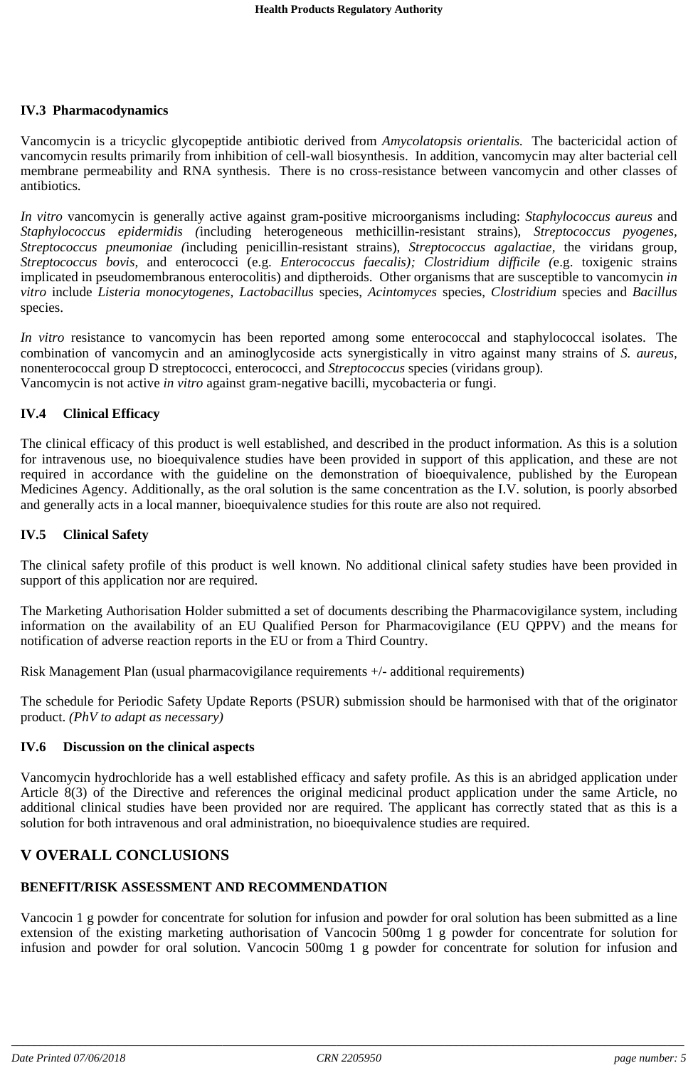#### **IV.3 Pharmacodynamics**

Vancomycin is a tricyclic glycopeptide antibiotic derived from *Amycolatopsis orientalis.* The bactericidal action of vancomycin results primarily from inhibition of cell-wall biosynthesis. In addition, vancomycin may alter bacterial cell membrane permeability and RNA synthesis. There is no cross-resistance between vancomycin and other classes of antibiotics.

*In vitro* vancomycin is generally active against gram-positive microorganisms including: *Staphylococcus aureus* and *Staphylococcus epidermidis (*including heterogeneous methicillin-resistant strains), *Streptococcus pyogenes, Streptococcus pneumoniae (*including penicillin-resistant strains), *Streptococcus agalactiae,* the viridans group, *Streptococcus bovis,* and enterococci (e.g. *Enterococcus faecalis); Clostridium difficile (*e.g. toxigenic strains implicated in pseudomembranous enterocolitis) and diptheroids. Other organisms that are susceptible to vancomycin *in vitro* include *Listeria monocytogenes, Lactobacillus* species, *Acintomyces* species, *Clostridium* species and *Bacillus* species.

*In vitro* resistance to vancomycin has been reported among some enterococcal and staphylococcal isolates. The combination of vancomycin and an aminoglycoside acts synergistically in vitro against many strains of *S. aureus,* nonenterococcal group D streptococci, enterococci, and *Streptococcus* species (viridans group). Vancomycin is not active *in vitro* against gram-negative bacilli, mycobacteria or fungi.

### **IV.4 Clinical Efficacy**

The clinical efficacy of this product is well established, and described in the product information. As this is a solution for intravenous use, no bioequivalence studies have been provided in support of this application, and these are not required in accordance with the guideline on the demonstration of bioequivalence, published by the European Medicines Agency. Additionally, as the oral solution is the same concentration as the I.V. solution, is poorly absorbed and generally acts in a local manner, bioequivalence studies for this route are also not required.

#### **IV.5 Clinical Safety**

The clinical safety profile of this product is well known. No additional clinical safety studies have been provided in support of this application nor are required.

The Marketing Authorisation Holder submitted a set of documents describing the Pharmacovigilance system, including information on the availability of an EU Qualified Person for Pharmacovigilance (EU QPPV) and the means for notification of adverse reaction reports in the EU or from a Third Country.

Risk Management Plan (usual pharmacovigilance requirements +/- additional requirements)

The schedule for Periodic Safety Update Reports (PSUR) submission should be harmonised with that of the originator product. *(PhV to adapt as necessary)*

#### **IV.6 Discussion on the clinical aspects**

Vancomycin hydrochloride has a well established efficacy and safety profile. As this is an abridged application under Article 8(3) of the Directive and references the original medicinal product application under the same Article, no additional clinical studies have been provided nor are required. The applicant has correctly stated that as this is a solution for both intravenous and oral administration, no bioequivalence studies are required.

## **V OVERALL CONCLUSIONS**

## **BENEFIT/RISK ASSESSMENT AND RECOMMENDATION**

Vancocin 1 g powder for concentrate for solution for infusion and powder for oral solution has been submitted as a line extension of the existing marketing authorisation of Vancocin 500mg 1 g powder for concentrate for solution for infusion and powder for oral solution. Vancocin 500mg 1 g powder for concentrate for solution for infusion and